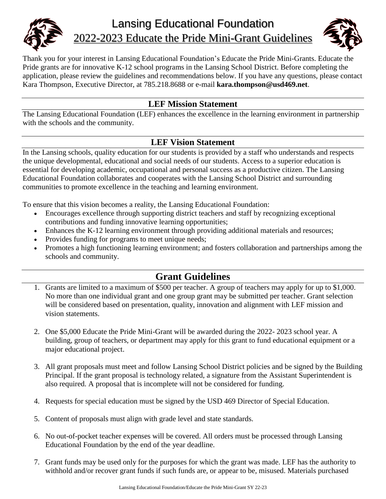

# Lansing Educational Foundation 2022-2023 Educate the Pride Mini-Grant Guidelines



Thank you for your interest in Lansing Educational Foundation's Educate the Pride Mini-Grants. Educate the Pride grants are for innovative K-12 school programs in the Lansing School District. Before completing the application, please review the guidelines and recommendations below. If you have any questions, please contact Kara Thompson, Executive Director, at 785.218.8688 or e-mail **kara.thompson@usd469.net**.

## **LEF Mission Statement**

The Lansing Educational Foundation (LEF) enhances the excellence in the learning environment in partnership with the schools and the community.

#### **LEF Vision Statement**

In the Lansing schools, quality education for our students is provided by a staff who understands and respects the unique developmental, educational and social needs of our students. Access to a superior education is essential for developing academic, occupational and personal success as a productive citizen. The Lansing Educational Foundation collaborates and cooperates with the Lansing School District and surrounding communities to promote excellence in the teaching and learning environment.

To ensure that this vision becomes a reality, the Lansing Educational Foundation:

- Encourages excellence through supporting district teachers and staff by recognizing exceptional contributions and funding innovative learning opportunities;
- Enhances the K-12 learning environment through providing additional materials and resources;
- Provides funding for programs to meet unique needs;
- Promotes a high functioning learning environment; and fosters collaboration and partnerships among the schools and community.

# **Grant Guidelines**

- 1. Grants are limited to a maximum of \$500 per teacher. A group of teachers may apply for up to \$1,000. No more than one individual grant and one group grant may be submitted per teacher. Grant selection will be considered based on presentation, quality, innovation and alignment with LEF mission and vision statements.
- 2. One \$5,000 Educate the Pride Mini-Grant will be awarded during the 2022- 2023 school year. A building, group of teachers, or department may apply for this grant to fund educational equipment or a major educational project.
- 3. All grant proposals must meet and follow Lansing School District policies and be signed by the Building Principal. If the grant proposal is technology related, a signature from the Assistant Superintendent is also required. A proposal that is incomplete will not be considered for funding.
- 4. Requests for special education must be signed by the USD 469 Director of Special Education.
- 5. Content of proposals must align with grade level and state standards.
- 6. No out-of-pocket teacher expenses will be covered. All orders must be processed through Lansing Educational Foundation by the end of the year deadline.
- 7. Grant funds may be used only for the purposes for which the grant was made. LEF has the authority to withhold and/or recover grant funds if such funds are, or appear to be, misused. Materials purchased